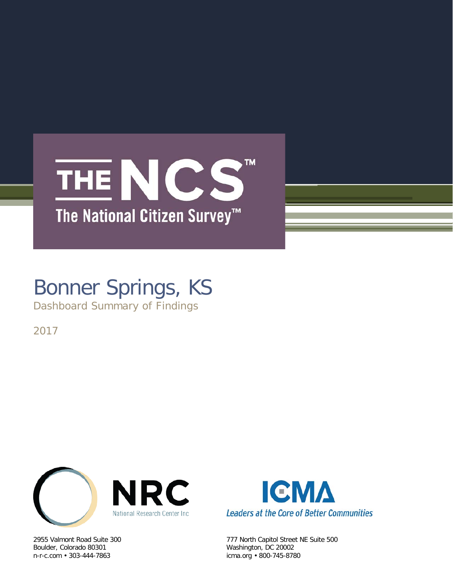## TM. THE NCS The National Citizen Survey<sup>™</sup>

# Bonner Springs, KS

Dashboard Summary of Findings

2017



Boulder, Colorado 80301 Washington, DC 20002



2955 Valmont Road Suite 300 777 North Capitol Street NE Suite 500 icma.org • 800-745-8780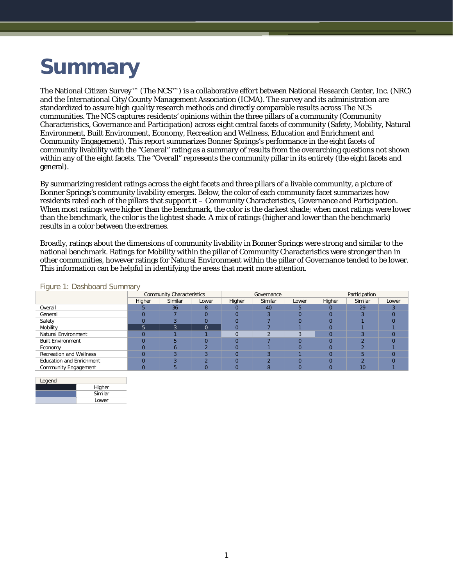# **Summary**

The National Citizen Survey™ (The NCS™) is a collaborative effort between National Research Center, Inc. (NRC) and the International City/County Management Association (ICMA). The survey and its administration are standardized to assure high quality research methods and directly comparable results across The NCS communities. The NCS captures residents' opinions within the three pillars of a community (Community Characteristics, Governance and Participation) across eight central facets of community (Safety, Mobility, Natural Environment, Built Environment, Economy, Recreation and Wellness, Education and Enrichment and Community Engagement). This report summarizes Bonner Springs's performance in the eight facets of community livability with the "General" rating as a summary of results from the overarching questions not shown within any of the eight facets. The "Overall" represents the community pillar in its entirety (the eight facets and general).

By summarizing resident ratings across the eight facets and three pillars of a livable community, a picture of Bonner Springs's community livability emerges. Below, the color of each community facet summarizes how residents rated each of the pillars that support it – Community Characteristics, Governance and Participation. When most ratings were higher than the benchmark, the color is the darkest shade; when most ratings were lower than the benchmark, the color is the lightest shade. A mix of ratings (higher and lower than the benchmark) results in a color between the extremes.

Broadly, ratings about the dimensions of community livability in Bonner Springs were strong and similar to the national benchmark. Ratings for Mobility within the pillar of Community Characteristics were stronger than in other communities, however ratings for Natural Environment within the pillar of Governance tended to be lower. This information can be helpful in identifying the areas that merit more attention.

| $\sim$                          | <b>Community Characteristics</b> |         |          |          | Governance |       | Participation |         |       |  |
|---------------------------------|----------------------------------|---------|----------|----------|------------|-------|---------------|---------|-------|--|
|                                 | Higher                           | Similar | Lower    | Higher   | Similar    | Lower | Higher        | Similar | Lower |  |
| Overall                         |                                  | 36      | 8        |          | 40         |       |               | 29      |       |  |
| General                         | $\Omega$                         |         |          |          |            |       | $\Omega$      |         |       |  |
| Safety                          | $\Omega$                         |         |          |          |            |       |               |         |       |  |
| Mobility                        | $\mathbf{p}$                     | 3       | $\Omega$ |          |            |       |               |         |       |  |
| Natural Environment             |                                  |         |          |          |            |       |               |         |       |  |
| <b>Built Environment</b>        | $\Omega$                         |         | $\Omega$ | $\Omega$ |            |       |               |         |       |  |
| Economy                         | $\Omega$                         |         |          |          |            |       |               |         |       |  |
| <b>Recreation and Wellness</b>  | $\Omega$                         |         |          | U        |            |       |               |         |       |  |
| <b>Education and Enrichment</b> | $\Omega$                         |         |          | U        |            |       |               |         |       |  |
| Community Engagement            | $\Omega$                         | 5       | $\Omega$ | $\Omega$ | 8          |       |               | 10      |       |  |
|                                 |                                  |         |          |          |            |       |               |         |       |  |

#### Figure 1: Dashboard Summary

| Legend |         |
|--------|---------|
|        | Higher  |
|        | Similar |
|        | Lower   |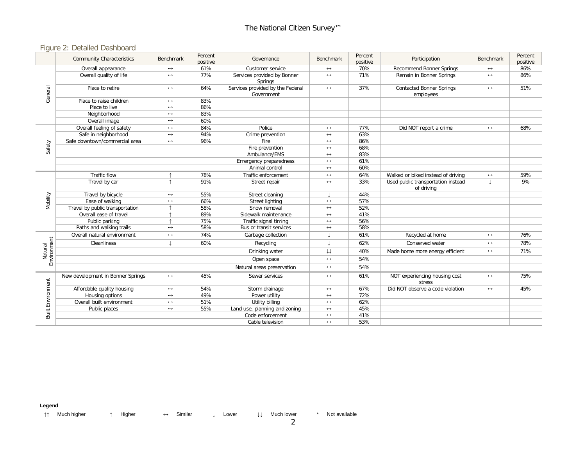### Figure 2: Detailed Dashboard

|                          | <b>Community Characteristics</b>  | Benchmark             | Percent<br>positive | Governance                                     | Benchmark               | Percent<br>positive | Participation                                    | Benchmark             | Percent<br>positive |
|--------------------------|-----------------------------------|-----------------------|---------------------|------------------------------------------------|-------------------------|---------------------|--------------------------------------------------|-----------------------|---------------------|
|                          | Overall appearance                | $\leftrightarrow$     | 61%                 | Customer service                               | $\longleftrightarrow$   | 70%                 | <b>Recommend Bonner Springs</b>                  | $\longleftrightarrow$ | 86%                 |
|                          | Overall quality of life           | $\leftrightarrow$     | 77%                 | Services provided by Bonner<br>Springs         | $\longleftrightarrow$   | 71%                 | Remain in Bonner Springs                         | $\leftrightarrow$     | 86%                 |
| General                  | Place to retire                   | $\leftrightarrow$     | 64%                 | Services provided by the Federal<br>Government | $\longleftrightarrow$   | 37%                 | <b>Contacted Bonner Springs</b><br>employees     | $\longleftrightarrow$ | 51%                 |
|                          | Place to raise children           | $\leftrightarrow$     | 83%                 |                                                |                         |                     |                                                  |                       |                     |
|                          | Place to live                     | $\leftrightarrow$     | 86%                 |                                                |                         |                     |                                                  |                       |                     |
|                          | Neighborhood                      | $\leftrightarrow$     | 83%                 |                                                |                         |                     |                                                  |                       |                     |
|                          | Overall image                     | $\leftrightarrow$     | 60%                 |                                                |                         |                     |                                                  |                       |                     |
|                          | Overall feeling of safety         | $\leftrightarrow$     | 84%                 | Police                                         | $\leftrightarrow$       | 77%                 | Did NOT report a crime                           | $\longleftrightarrow$ | 68%                 |
|                          | Safe in neighborhood              | $\leftrightarrow$     | 94%                 | Crime prevention                               | $\leftrightarrow$       | 63%                 |                                                  |                       |                     |
|                          | Safe downtown/commercial area     | $\leftrightarrow$     | 96%                 | Fire                                           | $\leftrightarrow$       | 86%                 |                                                  |                       |                     |
| Safety                   |                                   |                       |                     | Fire prevention                                | $\leftrightarrow$       | 68%                 |                                                  |                       |                     |
|                          |                                   |                       |                     | Ambulance/EMS                                  | $\leftrightarrow$       | 83%                 |                                                  |                       |                     |
|                          |                                   |                       |                     | Emergency preparedness                         | $\leftrightarrow$       | 61%                 |                                                  |                       |                     |
|                          |                                   |                       |                     | Animal control                                 | $\leftrightarrow$       | 60%                 |                                                  |                       |                     |
|                          | Traffic flow                      |                       | 78%                 | Traffic enforcement                            | $\leftrightarrow$       | 64%                 | Walked or biked instead of driving               | $\longleftrightarrow$ | 59%                 |
|                          | Travel by car                     |                       | 91%                 | Street repair                                  | $\leftrightarrow$       | 33%                 | Used public transportation instead<br>of driving | T                     | 9%                  |
|                          | Travel by bicycle                 | $\leftrightarrow$     | 55%                 | Street cleaning                                |                         | 44%                 |                                                  |                       |                     |
|                          | Ease of walking                   | $\leftrightarrow$     | 66%                 | Street lighting                                | $\leftrightarrow$       | 57%                 |                                                  |                       |                     |
| Mobility                 | Travel by public transportation   |                       | 58%                 | Snow removal                                   | $\leftrightarrow$       | 52%                 |                                                  |                       |                     |
|                          | Overall ease of travel            |                       | 89%                 | Sidewalk maintenance                           | $\leftrightarrow$       | 41%                 |                                                  |                       |                     |
|                          | Public parking                    |                       | 75%                 | Traffic signal timing                          | $\leftrightarrow$       | 56%                 |                                                  |                       |                     |
|                          | Paths and walking trails          | $\leftrightarrow$     | 58%                 | Bus or transit services                        | $\leftrightarrow$       | 58%                 |                                                  |                       |                     |
|                          | Overall natural environment       | $\leftrightarrow$     | 74%                 | Garbage collection                             | t                       | 61%                 | Recycled at home                                 | $\leftrightarrow$     | 76%                 |
| Natural<br>Environment   | Cleanliness                       |                       | 60%                 | Recycling                                      |                         | 62%                 | Conserved water                                  | $\longleftrightarrow$ | 78%                 |
|                          |                                   |                       |                     | Drinking water                                 | $\downarrow \downarrow$ | 40%                 | Made home more energy efficient                  | $\longleftrightarrow$ | 71%                 |
|                          |                                   |                       |                     | Open space                                     | $\leftrightarrow$       | 54%                 |                                                  |                       |                     |
|                          |                                   |                       |                     | Natural areas preservation                     | $\leftrightarrow$       | 54%                 |                                                  |                       |                     |
| <b>Built Environment</b> | New development in Bonner Springs | $\leftrightarrow$     | 45%                 | Sewer services                                 | $\leftrightarrow$       | 61%                 | NOT experiencing housing cost<br>stress          | $\longleftrightarrow$ | 75%                 |
|                          | Affordable quality housing        | $\leftrightarrow$     | 54%                 | Storm drainage                                 | $\leftrightarrow$       | 67%                 | Did NOT observe a code violation                 | $\longleftrightarrow$ | 45%                 |
|                          | Housing options                   | $\leftrightarrow$     | 49%                 | Power utility                                  | $\leftrightarrow$       | 72%                 |                                                  |                       |                     |
|                          | Overall built environment         | $\longleftrightarrow$ | 51%                 | <b>Utility billing</b>                         | $\leftrightarrow$       | 62%                 |                                                  |                       |                     |
|                          | Public places                     | $\leftrightarrow$     | 55%                 | Land use, planning and zoning                  | $\leftrightarrow$       | 45%                 |                                                  |                       |                     |
|                          |                                   |                       |                     | Code enforcement                               | $\leftrightarrow$       | 41%                 |                                                  |                       |                     |
|                          |                                   |                       |                     | Cable television                               | $\leftrightarrow$       | 53%                 |                                                  |                       |                     |

**Legend**

↑↑ Much higher ↑ Higher ↔ Similar ↓ Lower ↓↓ Much lower \* Not available